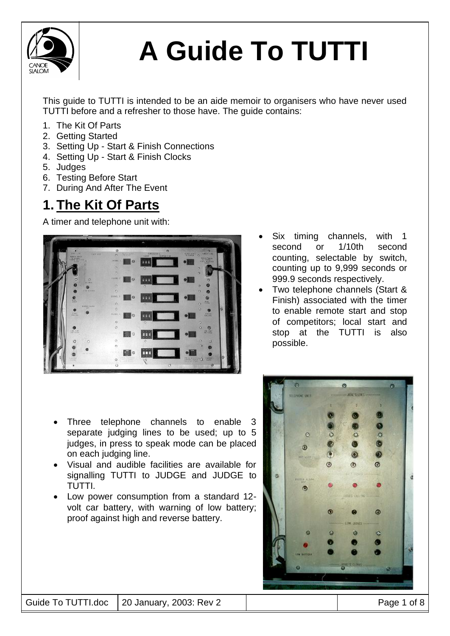

This guide to TUTTI is intended to be an aide memoir to organisers who have never used TUTTI before and a refresher to those have. The guide contains:

- 1. The Kit Of Parts
- 2. Getting Started
- 3. Setting Up Start & Finish Connections
- 4. Setting Up Start & Finish Clocks
- 5. Judges
- 6. Testing Before Start
- 7. During And After The Event

### **1. The Kit Of Parts**

A timer and telephone unit with:



- Six timing channels, with 1 second or 1/10th second counting, selectable by switch, counting up to 9,999 seconds or 999.9 seconds respectively.
- Two telephone channels (Start & Finish) associated with the timer to enable remote start and stop of competitors; local start and stop at the TUTTI is also possible.

- Three telephone channels to enable 3 separate judging lines to be used; up to 5 judges, in press to speak mode can be placed on each judging line.
- Visual and audible facilities are available for signalling TUTTI to JUDGE and JUDGE to TUTTI.
- Low power consumption from a standard 12 volt car battery, with warning of low battery; proof against high and reverse battery.

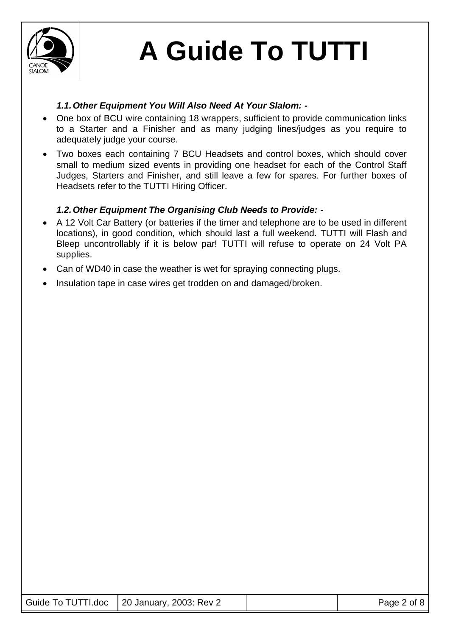

### *1.1.Other Equipment You Will Also Need At Your Slalom: -*

- One box of BCU wire containing 18 wrappers, sufficient to provide communication links to a Starter and a Finisher and as many judging lines/judges as you require to adequately judge your course.
- Two boxes each containing 7 BCU Headsets and control boxes, which should cover small to medium sized events in providing one headset for each of the Control Staff Judges, Starters and Finisher, and still leave a few for spares. For further boxes of Headsets refer to the TUTTI Hiring Officer.

### *1.2.Other Equipment The Organising Club Needs to Provide: -*

- A 12 Volt Car Battery (or batteries if the timer and telephone are to be used in different locations), in good condition, which should last a full weekend. TUTTI will Flash and Bleep uncontrollably if it is below par! TUTTI will refuse to operate on 24 Volt PA supplies.
- Can of WD40 in case the weather is wet for spraying connecting plugs.
- Insulation tape in case wires get trodden on and damaged/broken.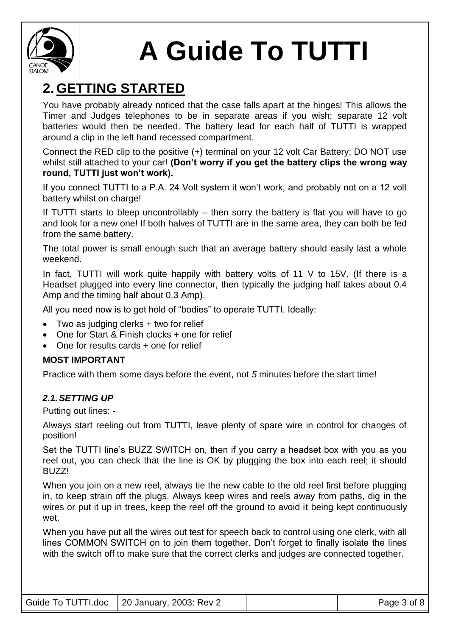

## **2. GETTING STARTED**

You have probably already noticed that the case falls apart at the hinges! This allows the Timer and Judges telephones to be in separate areas if you wish; separate 12 volt batteries would then be needed. The battery lead for each half of TUTTI is wrapped around a clip in the left hand recessed compartment.

Connect the RED clip to the positive (+) terminal on your 12 volt Car Battery; DO NOT use whilst still attached to your car! **(Don't worry if you get the battery clips the wrong way round, TUTTI just won't work).**

If you connect TUTTI to a P.A. 24 Volt system it won't work, and probably not on a 12 volt battery whilst on charge!

If TUTTI starts to bleep uncontrollably – then sorry the battery is flat you will have to go and look for a new one! If both halves of TUTTI are in the same area, they can both be fed from the same battery.

The total power is small enough such that an average battery should easily last a whole weekend.

In fact, TUTTI will work quite happily with battery volts of 11 V to 15V. (If there is a Headset plugged into every line connector, then typically the judging half takes about 0.4 Amp and the timing half about 0.3 Amp).

All you need now is to get hold of "bodies" to operate TUTTI. Ideally:

- Two as judging clerks + two for relief
- One for Start & Finish clocks + one for relief
- One for results cards + one for relief

#### **MOST IMPORTANT**

Practice with them some days before the event, not *5* minutes before the start time!

### *2.1.SETTING UP*

Putting out lines: -

Always start reeling out from TUTTI, leave plenty of spare wire in control for changes of position!

Set the TUTTI line's BUZZ SWITCH on, then if you carry a headset box with you as you reel out, you can check that the line is OK by plugging the box into each reel; it should **BUZZ!** 

When you join on a new reel, always tie the new cable to the old reel first before plugging in, to keep strain off the plugs. Always keep wires and reels away from paths, dig in the wires or put it up in trees, keep the reel off the ground to avoid it being kept continuously wet.

When you have put all the wires out test for speech back to control using one clerk, with all lines COMMON SWITCH on to join them together. Don't forget to finally isolate the lines with the switch off to make sure that the correct clerks and judges are connected together.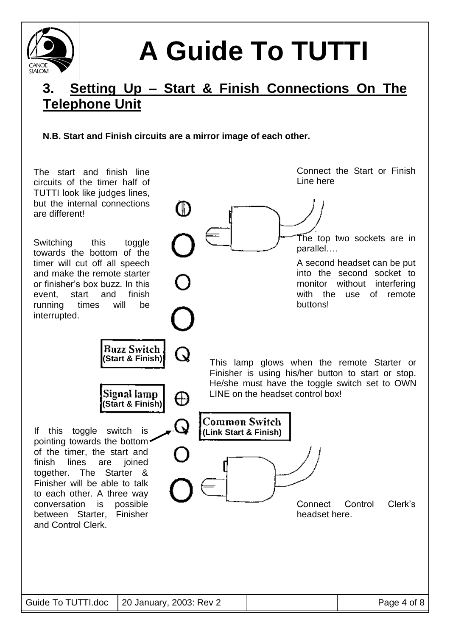

## **3. Setting Up – Start & Finish Connections On The Telephone Unit**

### **N.B. Start and Finish circuits are a mirror image of each other.**

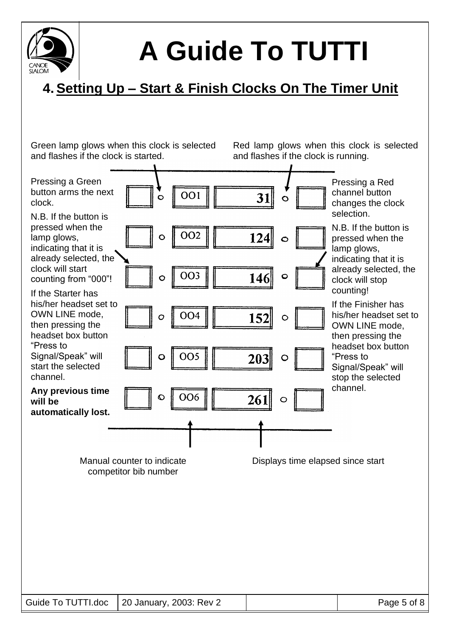

## **4.Setting Up – Start & Finish Clocks On The Timer Unit**

Green lamp glows when this clock is selected and flashes if the clock is started.

Red lamp glows when this clock is selected and flashes if the clock is running.

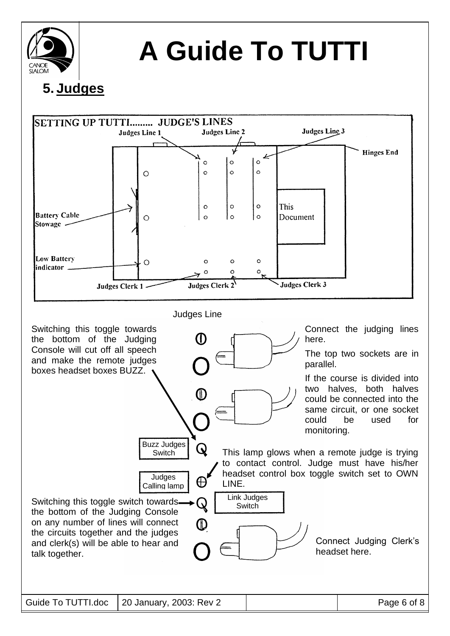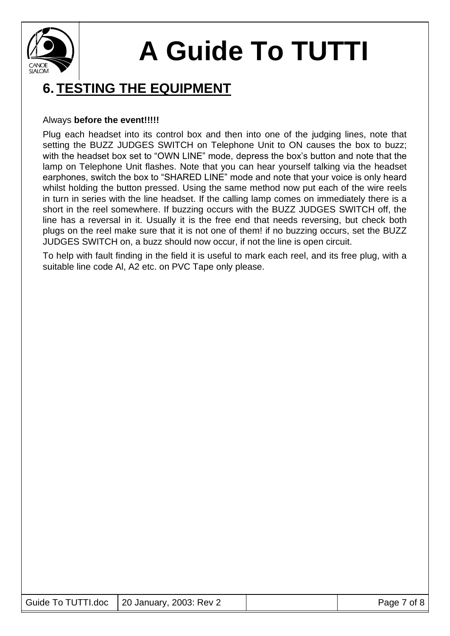

### **6. TESTING THE EQUIPMENT**

#### Always **before the event!!!!!**

Plug each headset into its control box and then into one of the judging lines, note that setting the BUZZ JUDGES SWITCH on Telephone Unit to ON causes the box to buzz; with the headset box set to "OWN LINE" mode, depress the box's button and note that the lamp on Telephone Unit flashes. Note that you can hear yourself talking via the headset earphones, switch the box to "SHARED LINE" mode and note that your voice is only heard whilst holding the button pressed. Using the same method now put each of the wire reels in turn in series with the line headset. If the calling lamp comes on immediately there is a short in the reel somewhere. If buzzing occurs with the BUZZ JUDGES SWITCH off, the line has a reversal in it. Usually it is the free end that needs reversing, but check both plugs on the reel make sure that it is not one of them! if no buzzing occurs, set the BUZZ JUDGES SWITCH on, a buzz should now occur, if not the line is open circuit.

To help with fault finding in the field it is useful to mark each reel, and its free plug, with a suitable line code Al, A2 etc. on PVC Tape only please.

|  | Guide To TUTTI.doc   20 January, 2003: Rev 2 |  | Page 7 of 8 |
|--|----------------------------------------------|--|-------------|
|--|----------------------------------------------|--|-------------|